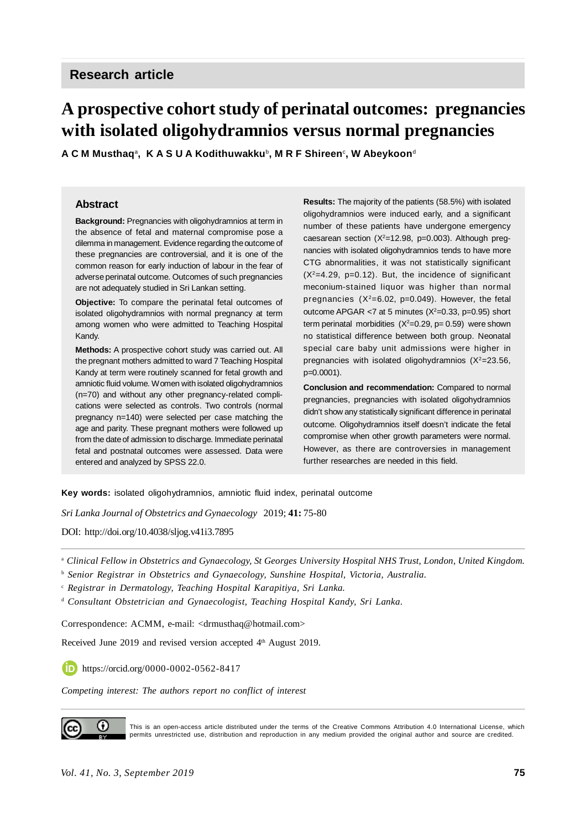# **Research article**

# **A prospective cohort study of perinatal outcomes: pregnancies with isolated oligohydramnios versus normal pregnancies**

**A C M Musthaq**<sup>a</sup> **, K A S U A Kodithuwakku**<sup>b</sup> **, M R F Shireen**<sup>c</sup> **, W Abeykoon**<sup>d</sup>

#### **Abstract**

**Background:** Pregnancies with oligohydramnios at term in the absence of fetal and maternal compromise pose a dilemma in management. Evidence regarding the outcome of these pregnancies are controversial, and it is one of the common reason for early induction of labour in the fear of adverse perinatal outcome. Outcomes of such pregnancies are not adequately studied in Sri Lankan setting.

**Objective:** To compare the perinatal fetal outcomes of isolated oligohydramnios with normal pregnancy at term among women who were admitted to Teaching Hospital Kandy.

**Methods:** A prospective cohort study was carried out. All the pregnant mothers admitted to ward 7 Teaching Hospital Kandy at term were routinely scanned for fetal growth and amniotic fluid volume. Women with isolated oligohydramnios (n=70) and without any other pregnancy-related complications were selected as controls. Two controls (normal pregnancy n=140) were selected per case matching the age and parity. These pregnant mothers were followed up from the date of admission to discharge. Immediate perinatal fetal and postnatal outcomes were assessed. Data were entered and analyzed by SPSS 22.0.

**Results:** The majority of the patients (58.5%) with isolated oligohydramnios were induced early, and a significant number of these patients have undergone emergency caesarean section  $(X^2=12.98, p=0.003)$ . Although pregnancies with isolated oligohydramnios tends to have more CTG abnormalities, it was not statistically significant  $(X<sup>2</sup>=4.29, p=0.12)$ . But, the incidence of significant meconium-stained liquor was higher than normal pregnancies  $(X^2=6.02, p=0.049)$ . However, the fetal outcome APGAR  $<$ 7 at 5 minutes ( $X^2$ =0.33, p=0.95) short term perinatal morbidities  $(X^2=0.29, p=0.59)$  were shown no statistical difference between both group. Neonatal special care baby unit admissions were higher in pregnancies with isolated oligohydramnios  $(X^2=23.56,$ p=0.0001).

**Conclusion and recommendation:** Compared to normal pregnancies, pregnancies with isolated oligohydramnios didn't show any statistically significant difference in perinatal outcome. Oligohydramnios itself doesn't indicate the fetal compromise when other growth parameters were normal. However, as there are controversies in management further researches are needed in this field.

**Key words:** isolated oligohydramnios, amniotic fluid index, perinatal outcome

*Sri Lanka Journal of Obstetrics and Gynaecology* 2019; **41:** 75-80

DOI: <http://doi.org/10.4038/sljog.v41i3.7895>

<sup>a</sup> *Clinical Fellow in Obstetrics and Gynaecology, St Georges University Hospital NHS Trust, London, United Kingdom.*

b  *Senior Registrar in Obstetrics and Gynaecology, Sunshine Hospital, Victoria, Australia.*

c  *Registrar in Dermatology, Teaching Hospital Karapitiya, Sri Lanka.*

<sup>d</sup> Consultant Obstetrician and Gynaecologist, Teaching Hospital Kandy, Sri Lanka.

Correspondence: ACMM, e-mail: <[drmusthaq@hotmail.com](mailto:drmusthaq@hotmail.com)>

Received June 2019 and revised version accepted 4<sup>th</sup> August 2019.

**<https://orcid.org/0000-0002-0562-8417>** 

*Competing interest: The authors report no conflict of interest*



This is an open-access article distributed under the terms of the Creative Commons Attribution 4.0 International License, which permits unrestricted use, distribution and reproduction in any medium provided the original author and source are credited.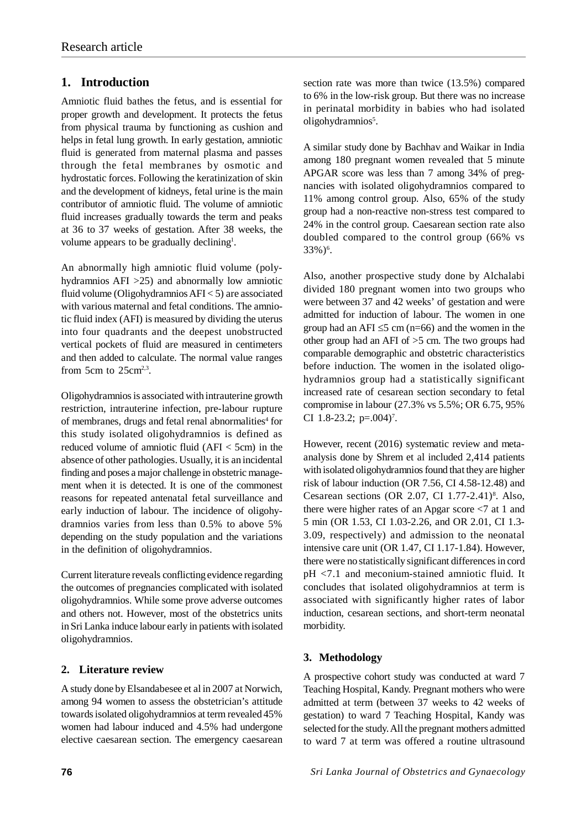# **1. Introduction**

Amniotic fluid bathes the fetus, and is essential for proper growth and development. It protects the fetus from physical trauma by functioning as cushion and helps in fetal lung growth. In early gestation, amniotic fluid is generated from maternal plasma and passes through the fetal membranes by osmotic and hydrostatic forces. Following the keratinization of skin and the development of kidneys, fetal urine is the main contributor of amniotic fluid. The volume of amniotic fluid increases gradually towards the term and peaks at 36 to 37 weeks of gestation. After 38 weeks, the volume appears to be gradually declining<sup>1</sup>.

An abnormally high amniotic fluid volume (polyhydramnios AFI >25) and abnormally low amniotic fluid volume (Oligohydramnios  $AFI < 5$ ) are associated with various maternal and fetal conditions. The amniotic fluid index (AFI) is measured by dividing the uterus into four quadrants and the deepest unobstructed vertical pockets of fluid are measured in centimeters and then added to calculate. The normal value ranges from  $5cm$  to  $25cm<sup>2,3</sup>$ .

Oligohydramnios is associated with intrauterine growth restriction, intrauterine infection, pre-labour rupture of membranes, drugs and fetal renal abnormalities<sup>4</sup> for this study isolated oligohydramnios is defined as reduced volume of amniotic fluid  $(AFI < 5cm)$  in the absence of other pathologies. Usually, it is an incidental finding and poses a major challenge in obstetric management when it is detected. It is one of the commonest reasons for repeated antenatal fetal surveillance and early induction of labour. The incidence of oligohydramnios varies from less than 0.5% to above 5% depending on the study population and the variations in the definition of oligohydramnios.

Current literature reveals conflicting evidence regarding the outcomes of pregnancies complicated with isolated oligohydramnios. While some prove adverse outcomes and others not. However, most of the obstetrics units in Sri Lanka induce labour early in patients with isolated oligohydramnios.

## **2. Literature review**

A study done by Elsandabesee et al in 2007 at Norwich, among 94 women to assess the obstetrician's attitude towards isolated oligohydramnios at term revealed 45% women had labour induced and 4.5% had undergone elective caesarean section. The emergency caesarean A similar study done by Bachhav and Waikar in India among 180 pregnant women revealed that 5 minute APGAR score was less than 7 among 34% of pregnancies with isolated oligohydramnios compared to 11% among control group. Also, 65% of the study group had a non-reactive non-stress test compared to 24% in the control group. Caesarean section rate also doubled compared to the control group (66% vs 33%)<sup>6</sup>.

Also, another prospective study done by Alchalabi divided 180 pregnant women into two groups who were between 37 and 42 weeks' of gestation and were admitted for induction of labour. The women in one group had an AFI  $\leq$ 5 cm (n=66) and the women in the other group had an AFI of >5 cm. The two groups had comparable demographic and obstetric characteristics before induction. The women in the isolated oligohydramnios group had a statistically significant increased rate of cesarean section secondary to fetal compromise in labour (27.3% vs 5.5%; OR 6.75, 95% CI 1.8-23.2;  $p=.004$ <sup>7</sup>.

However, recent (2016) systematic review and metaanalysis done by Shrem et al included 2,414 patients with isolated oligohydramnios found that they are higher risk of labour induction (OR 7.56, CI 4.58-12.48) and Cesarean sections (OR 2.07, CI 1.77-2.41)<sup>8</sup>. Also, there were higher rates of an Apgar score <7 at 1 and 5 min (OR 1.53, CI 1.03-2.26, and OR 2.01, CI 1.3- 3.09, respectively) and admission to the neonatal intensive care unit (OR 1.47, CI 1.17-1.84). However, there were no statistically significant differences in cord pH <7.1 and meconium-stained amniotic fluid. It concludes that isolated oligohydramnios at term is associated with significantly higher rates of labor induction, cesarean sections, and short-term neonatal morbidity.

## **3. Methodology**

A prospective cohort study was conducted at ward 7 Teaching Hospital, Kandy. Pregnant mothers who were admitted at term (between 37 weeks to 42 weeks of gestation) to ward 7 Teaching Hospital, Kandy was selected for the study. All the pregnant mothers admitted to ward 7 at term was offered a routine ultrasound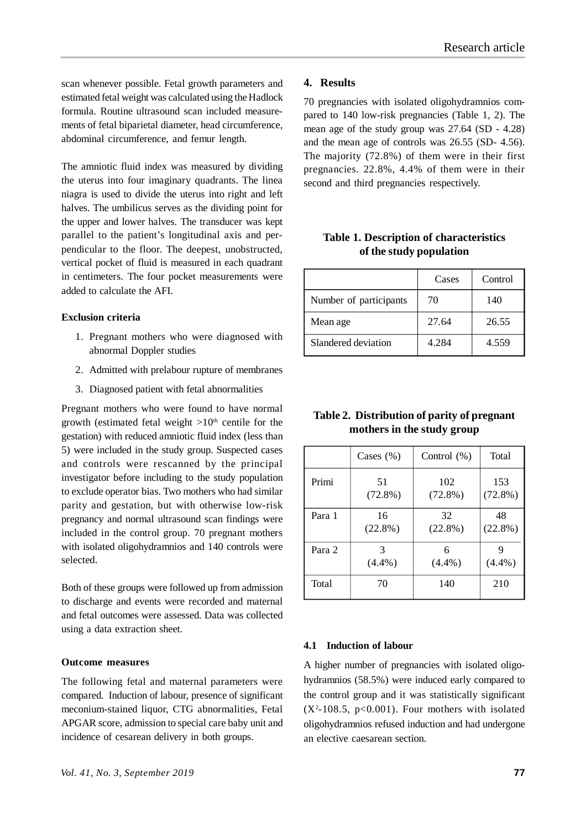scan whenever possible. Fetal growth parameters and estimated fetal weight was calculated using the Hadlock formula. Routine ultrasound scan included measurements of fetal biparietal diameter, head circumference, abdominal circumference, and femur length.

The amniotic fluid index was measured by dividing the uterus into four imaginary quadrants. The linea niagra is used to divide the uterus into right and left halves. The umbilicus serves as the dividing point for the upper and lower halves. The transducer was kept parallel to the patient's longitudinal axis and perpendicular to the floor. The deepest, unobstructed, vertical pocket of fluid is measured in each quadrant in centimeters. The four pocket measurements were added to calculate the AFI.

#### **Exclusion criteria**

- 1. Pregnant mothers who were diagnosed with abnormal Doppler studies
- 2. Admitted with prelabour rupture of membranes
- 3. Diagnosed patient with fetal abnormalities

Pregnant mothers who were found to have normal growth (estimated fetal weight  $>10<sup>th</sup>$  centile for the gestation) with reduced amniotic fluid index (less than 5) were included in the study group. Suspected cases and controls were rescanned by the principal investigator before including to the study population to exclude operator bias. Two mothers who had similar parity and gestation, but with otherwise low-risk pregnancy and normal ultrasound scan findings were included in the control group. 70 pregnant mothers with isolated oligohydramnios and 140 controls were selected.

Both of these groups were followed up from admission to discharge and events were recorded and maternal and fetal outcomes were assessed. Data was collected using a data extraction sheet.

#### **Outcome measures**

The following fetal and maternal parameters were compared. Induction of labour, presence of significant meconium-stained liquor, CTG abnormalities, Fetal APGAR score, admission to special care baby unit and incidence of cesarean delivery in both groups.

#### *Vol. 41, No. 3, September 2019* **77**

#### **4. Results**

70 pregnancies with isolated oligohydramnios compared to 140 low-risk pregnancies (Table 1, 2). The mean age of the study group was 27.64 (SD - 4.28) and the mean age of controls was 26.55 (SD- 4.56). The majority (72.8%) of them were in their first pregnancies. 22.8%, 4.4% of them were in their second and third pregnancies respectively.

## **Table 1. Description of characteristics of the study population**

|                        | Cases | Control |
|------------------------|-------|---------|
| Number of participants | 70    | 140     |
| Mean age               | 27.64 | 26.55   |
| Slandered deviation    | 4.284 | 4.559   |

| Table 2. Distribution of parity of pregnant |  |
|---------------------------------------------|--|
| mothers in the study group                  |  |

|              | Cases $(\% )$    | Control $(\% )$   | Total             |
|--------------|------------------|-------------------|-------------------|
| Primi        | 51<br>$(72.8\%)$ | 102<br>$(72.8\%)$ | 153<br>$(72.8\%)$ |
| Para 1       | 16<br>$(22.8\%)$ | 32<br>$(22.8\%)$  | 48<br>$(22.8\%)$  |
| Para 2       | $(4.4\%)$        | 6<br>$(4.4\%)$    | 9<br>$(4.4\%)$    |
| <b>Total</b> | 70               | 140               | 210               |

#### **4.1 Induction of labour**

A higher number of pregnancies with isolated oligohydramnios (58.5%) were induced early compared to the control group and it was statistically significant  $(X^2-108.5, p<0.001)$ . Four mothers with isolated oligohydramnios refused induction and had undergone an elective caesarean section.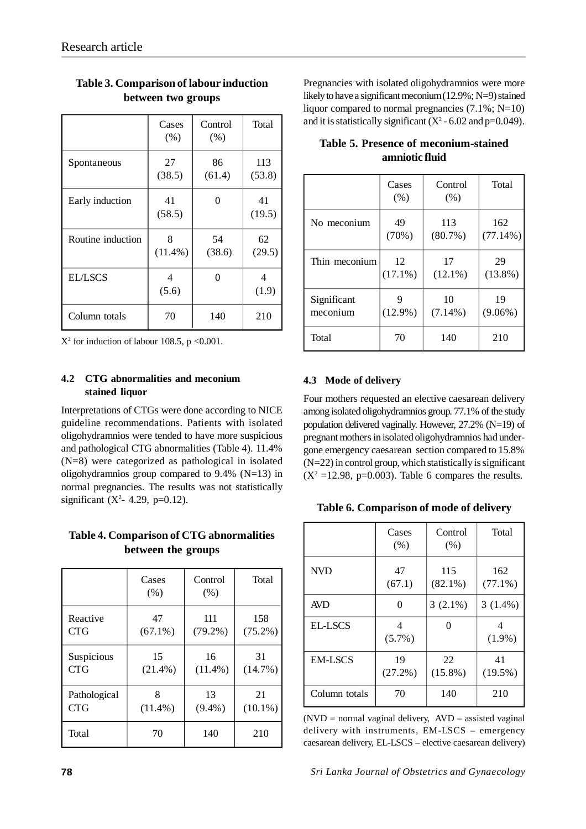|                   | Cases<br>(% )   | Control<br>(% ) | Total         |
|-------------------|-----------------|-----------------|---------------|
| Spontaneous       | 27<br>(38.5)    | 86<br>(61.4)    | 113<br>(53.8) |
| Early induction   | 41<br>(58.5)    | 0               | 41<br>(19.5)  |
| Routine induction | 8<br>$(11.4\%)$ | 54<br>(38.6)    | 62<br>(29.5)  |
| <b>EL/LSCS</b>    | 4<br>(5.6)      | 0               | 4<br>(1.9)    |
| Column totals     | 70              | 140             | 210           |

# **Table 3. Comparison of labour induction between two groups**

 $X^2$  for induction of labour 108.5, p < 0.001.

## **4.2 CTG abnormalities and meconium stained liquor**

Interpretations of CTGs were done according to NICE guideline recommendations. Patients with isolated oligohydramnios were tended to have more suspicious and pathological CTG abnormalities (Table 4). 11.4% (N=8) were categorized as pathological in isolated oligohydramnios group compared to 9.4% (N=13) in normal pregnancies. The results was not statistically significant ( $X^2 - 4.29$ , p=0.12).

## **Table 4. Comparison of CTG abnormalities between the groups**

|              | Cases<br>(% ) | Control<br>(% ) | Total      |
|--------------|---------------|-----------------|------------|
| Reactive     | 47            | 111             | 158        |
| <b>CTG</b>   | $(67.1\%)$    | $(79.2\%)$      | $(75.2\%)$ |
| Suspicious   | 15            | 16              | 31         |
| <b>CTG</b>   | $(21.4\%)$    | $(11.4\%)$      | $(14.7\%)$ |
| Pathological | 8             | 13              | 21         |
| <b>CTG</b>   | $(11.4\%)$    | $(9.4\%)$       | $(10.1\%)$ |
| Total        | 70            | 140             | 210        |

Pregnancies with isolated oligohydramnios were more likely to have a significant meconium (12.9%; N=9) stained liquor compared to normal pregnancies (7.1%; N=10) and it is statistically significant  $(X^2 - 6.02 \text{ and } p=0.049)$ .

|               | Cases<br>(% ) | Control<br>(% ) | Total      |
|---------------|---------------|-----------------|------------|
| No meconium   | 49            | 113             | 162        |
|               | (70%)         | $(80.7\%)$      | (77.14%)   |
| Thin meconium | 12            | 17              | 29         |
|               | $(17.1\%)$    | $(12.1\%)$      | $(13.8\%)$ |
| Significant   | $(12.9\%)$    | 10              | 19         |
| meconium      |               | $(7.14\%)$      | $(9.06\%)$ |
| Total         | 70            | 140             | 210        |

# **Table 5. Presence of meconium-stained amniotic fluid**

## **4.3 Mode of delivery**

Four mothers requested an elective caesarean delivery among isolated oligohydramnios group. 77.1% of the study population delivered vaginally. However, 27.2% (N=19) of pregnant mothers in isolated oligohydramnios had undergone emergency caesarean section compared to 15.8% (N=22) in control group, which statistically is significant  $(X^2 = 12.98, p=0.003)$ . Table 6 compares the results.

**Table 6. Comparison of mode of delivery**

|                | Cases<br>(% )    | Control<br>(% )   | Total             |
|----------------|------------------|-------------------|-------------------|
| <b>NVD</b>     | 47<br>(67.1)     | 115<br>$(82.1\%)$ | 162<br>$(77.1\%)$ |
| <b>AVD</b>     | 0                | $3(2.1\%)$        | $3(1.4\%)$        |
| <b>EL-LSCS</b> | 4<br>$(5.7\%)$   | 0                 | 4<br>$(1.9\%)$    |
| <b>EM-LSCS</b> | 19<br>$(27.2\%)$ | 22<br>$(15.8\%)$  | 41<br>$(19.5\%)$  |
| Column totals  | 70               | 140               | 210               |

 $(NVD = normal$  vaginal delivery,  $AVD -$  assisted vaginal delivery with instruments, EM-LSCS – emergency caesarean delivery, EL-LSCS – elective caesarean delivery)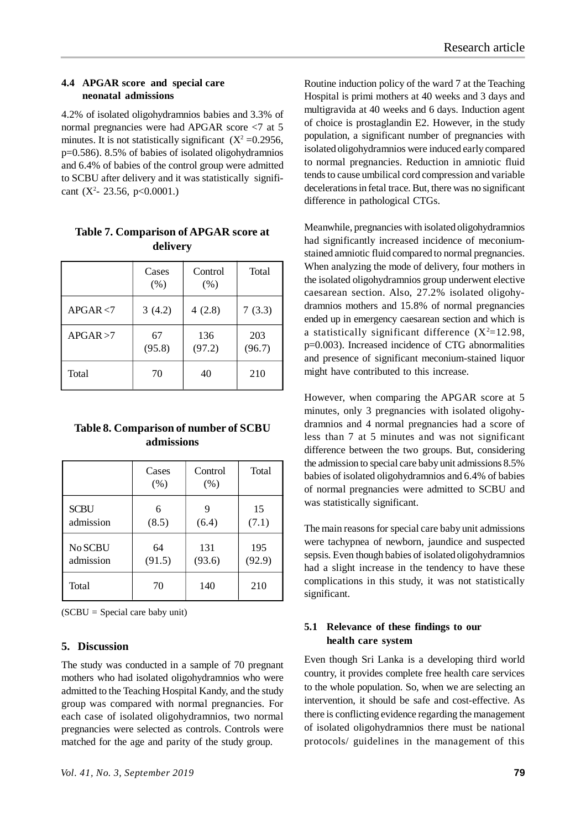## **4.4 APGAR score and special care neonatal admissions**

4.2% of isolated oligohydramnios babies and 3.3% of normal pregnancies were had APGAR score <7 at 5 minutes. It is not statistically significant  $(X^2 = 0.2956,$ p=0.586). 8.5% of babies of isolated oligohydramnios and 6.4% of babies of the control group were admitted to SCBU after delivery and it was statistically significant ( $X^2$ - 23.56, p<0.0001.)

|              | Cases<br>(% ) | Control<br>(% ) | Total         |
|--------------|---------------|-----------------|---------------|
| APGAR < 7    | 3(4.2)        | 4(2.8)          | 7(3.3)        |
| APGAR > 7    | 67<br>(95.8)  | 136<br>(97.2)   | 203<br>(96.7) |
| <b>Total</b> | 70            | 40              | 210           |

**Table 7. Comparison of APGAR score at delivery**

| Table 8. Comparison of number of SCBU |
|---------------------------------------|
| admissions                            |

|             | Cases<br>(% ) | Control<br>(% ) | Total  |
|-------------|---------------|-----------------|--------|
| <b>SCBU</b> | 6             | 9               | 15     |
| admission   | (8.5)         | (6.4)           | (7.1)  |
| No SCBU     | 64            | 131             | 195    |
| admission   | (91.5)        | (93.6)          | (92.9) |
| Total       | 70            | 140             | 210    |

(SCBU = Special care baby unit)

#### **5. Discussion**

The study was conducted in a sample of 70 pregnant mothers who had isolated oligohydramnios who were admitted to the Teaching Hospital Kandy, and the study group was compared with normal pregnancies. For each case of isolated oligohydramnios, two normal pregnancies were selected as controls. Controls were matched for the age and parity of the study group.

Routine induction policy of the ward 7 at the Teaching Hospital is primi mothers at 40 weeks and 3 days and multigravida at 40 weeks and 6 days. Induction agent of choice is prostaglandin E2. However, in the study population, a significant number of pregnancies with isolated oligohydramnios were induced early compared to normal pregnancies. Reduction in amniotic fluid tends to cause umbilical cord compression and variable decelerations in fetal trace. But, there was no significant difference in pathological CTGs.

Meanwhile, pregnancies with isolated oligohydramnios had significantly increased incidence of meconiumstained amniotic fluid compared to normal pregnancies. When analyzing the mode of delivery, four mothers in the isolated oligohydramnios group underwent elective caesarean section. Also, 27.2% isolated oligohydramnios mothers and 15.8% of normal pregnancies ended up in emergency caesarean section and which is a statistically significant difference  $(X^2=12.98,$ p=0.003). Increased incidence of CTG abnormalities and presence of significant meconium-stained liquor might have contributed to this increase.

However, when comparing the APGAR score at 5 minutes, only 3 pregnancies with isolated oligohydramnios and 4 normal pregnancies had a score of less than 7 at 5 minutes and was not significant difference between the two groups. But, considering the admission to special care baby unit admissions 8.5% babies of isolated oligohydramnios and 6.4% of babies of normal pregnancies were admitted to SCBU and was statistically significant.

The main reasons for special care baby unit admissions were tachypnea of newborn, jaundice and suspected sepsis. Even though babies of isolated oligohydramnios had a slight increase in the tendency to have these complications in this study, it was not statistically significant.

## **5.1 Relevance of these findings to our health care system**

Even though Sri Lanka is a developing third world country, it provides complete free health care services to the whole population. So, when we are selecting an intervention, it should be safe and cost-effective. As there is conflicting evidence regarding the management of isolated oligohydramnios there must be national protocols/ guidelines in the management of this